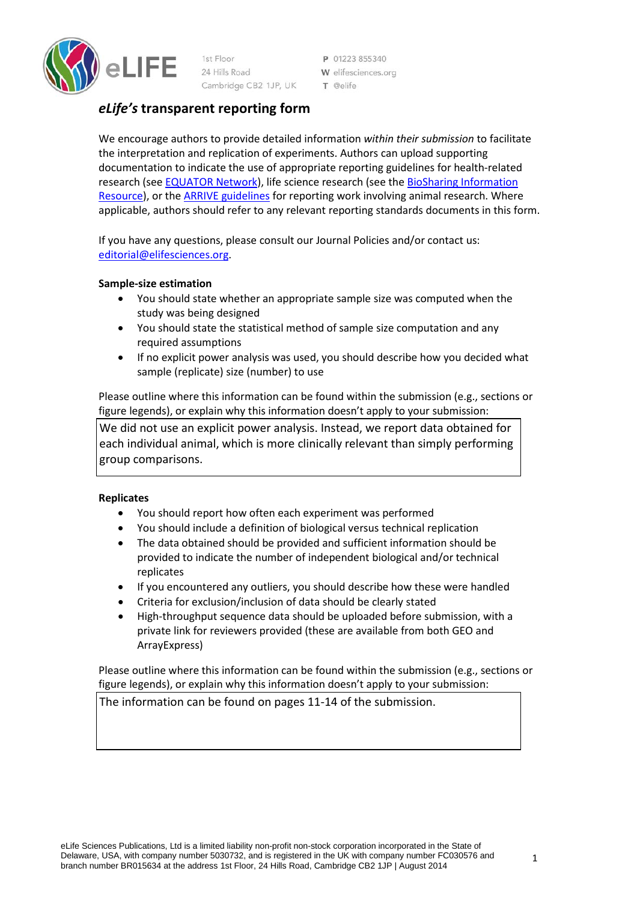

1st Floor 24 Hills Road Cambridge CB2 1JP, UK

P 01223 855340 W elifesciences.org T @elife

# *eLife's* **transparent reporting form**

We encourage authors to provide detailed information *within their submission* to facilitate the interpretation and replication of experiments. Authors can upload supporting documentation to indicate the use of appropriate reporting guidelines for health-related research (see [EQUATOR Network\)](http://www.equator-network.org/), life science research (see the [BioSharing Information](https://biosharing.org/)  [Resource\)](https://biosharing.org/), or the [ARRIVE guidelines](http://www.plosbiology.org/article/info:doi/10.1371/journal.pbio.1000412) for reporting work involving animal research. Where applicable, authors should refer to any relevant reporting standards documents in this form.

If you have any questions, please consult our Journal Policies and/or contact us: [editorial@elifesciences.org.](mailto:editorial@elifesciences.org)

# **Sample-size estimation**

- You should state whether an appropriate sample size was computed when the study was being designed
- You should state the statistical method of sample size computation and any required assumptions
- If no explicit power analysis was used, you should describe how you decided what sample (replicate) size (number) to use

Please outline where this information can be found within the submission (e.g., sections or figure legends), or explain why this information doesn't apply to your submission:

We did not use an explicit power analysis. Instead, we report data obtained for each individual animal, which is more clinically relevant than simply performing group comparisons.

# **Replicates**

- You should report how often each experiment was performed
- You should include a definition of biological versus technical replication
- The data obtained should be provided and sufficient information should be provided to indicate the number of independent biological and/or technical replicates
- If you encountered any outliers, you should describe how these were handled
- Criteria for exclusion/inclusion of data should be clearly stated
- High-throughput sequence data should be uploaded before submission, with a private link for reviewers provided (these are available from both GEO and ArrayExpress)

Please outline where this information can be found within the submission (e.g., sections or figure legends), or explain why this information doesn't apply to your submission:

The information can be found on pages 11-14 of the submission.